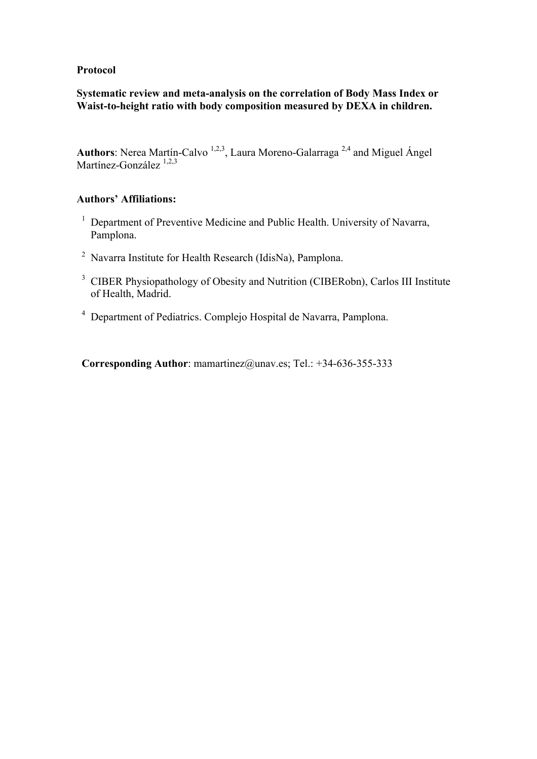### **Protocol**

# **Systematic review and meta-analysis on the correlation of Body Mass Index or Waist-to-height ratio with body composition measured by DEXA in children.**

Authors: Nerea Martín-Calvo<sup>1,2,3</sup>, Laura Moreno-Galarraga<sup>2,4</sup> and Miguel Ángel Martínez-González <sup>1,2,3</sup>

# **Authors' Affiliations:**

- <sup>1</sup> Department of Preventive Medicine and Public Health. University of Navarra, Pamplona.
- <sup>2</sup> Navarra Institute for Health Research (IdisNa), Pamplona.
- <sup>3</sup> CIBER Physiopathology of Obesity and Nutrition (CIBERobn), Carlos III Institute of Health, Madrid.
- <sup>4</sup> Department of Pediatrics. Complejo Hospital de Navarra, Pamplona.

**Corresponding Author**: mamartinez@unav.es; Tel.: +34-636-355-333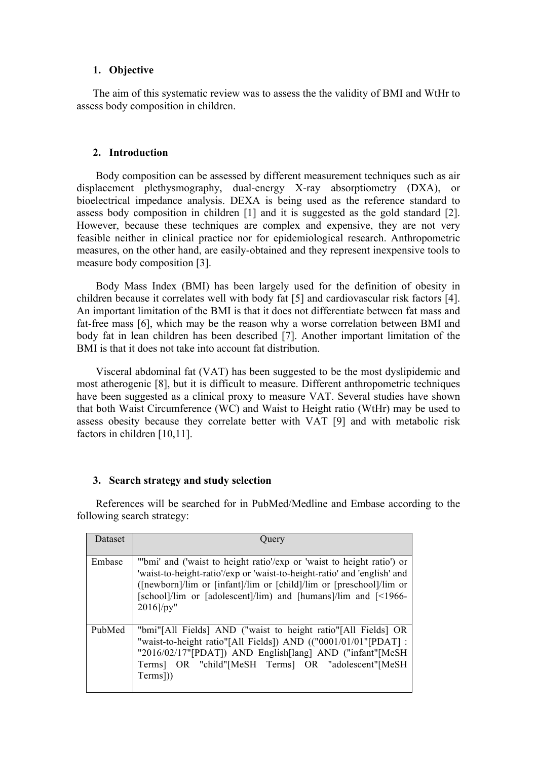#### **1. Objective**

The aim of this systematic review was to assess the the validity of BMI and WtHr to assess body composition in children.

#### **2. Introduction**

Body composition can be assessed by different measurement techniques such as air displacement plethysmography, dual-energy X-ray absorptiometry (DXA), or bioelectrical impedance analysis. DEXA is being used as the reference standard to assess body composition in children [1] and it is suggested as the gold standard [2]. However, because these techniques are complex and expensive, they are not very feasible neither in clinical practice nor for epidemiological research. Anthropometric measures, on the other hand, are easily-obtained and they represent inexpensive tools to measure body composition [3].

Body Mass Index (BMI) has been largely used for the definition of obesity in children because it correlates well with body fat [5] and cardiovascular risk factors [4]. An important limitation of the BMI is that it does not differentiate between fat mass and fat-free mass [6], which may be the reason why a worse correlation between BMI and body fat in lean children has been described [7]. Another important limitation of the BMI is that it does not take into account fat distribution.

Visceral abdominal fat (VAT) has been suggested to be the most dyslipidemic and most atherogenic [8], but it is difficult to measure. Different anthropometric techniques have been suggested as a clinical proxy to measure VAT. Several studies have shown that both Waist Circumference (WC) and Waist to Height ratio (WtHr) may be used to assess obesity because they correlate better with VAT [9] and with metabolic risk factors in children [10,11].

#### **3. Search strategy and study selection**

References will be searched for in PubMed/Medline and Embase according to the following search strategy:

| Dataset | Ouery                                                                                                                                                                                                                                                                                                    |
|---------|----------------------------------------------------------------------------------------------------------------------------------------------------------------------------------------------------------------------------------------------------------------------------------------------------------|
| Embase  | "'bmi' and ('waist to height ratio'/exp or 'waist to height ratio') or<br>'waist-to-height-ratio'/exp or 'waist-to-height-ratio' and 'english' and<br>([newborn]/lim or [infant]/lim or [child]/lim or [preschool]/lim or<br>[school]/lim or [adolescent]/lim) and [humans]/lim and [<1966-<br>2016]/py" |
| PubMed  | "bmi"[All Fields] AND ("waist to height ratio"[All Fields] OR<br>"waist-to-height ratio"[All Fields]) AND (("0001/01/01"[PDAT] :<br>"2016/02/17"[PDAT]) AND English[lang] AND ("infant"[MeSH<br>Terms] OR "child"[MeSH Terms] OR "adolescent"[MeSH<br>Terms])                                            |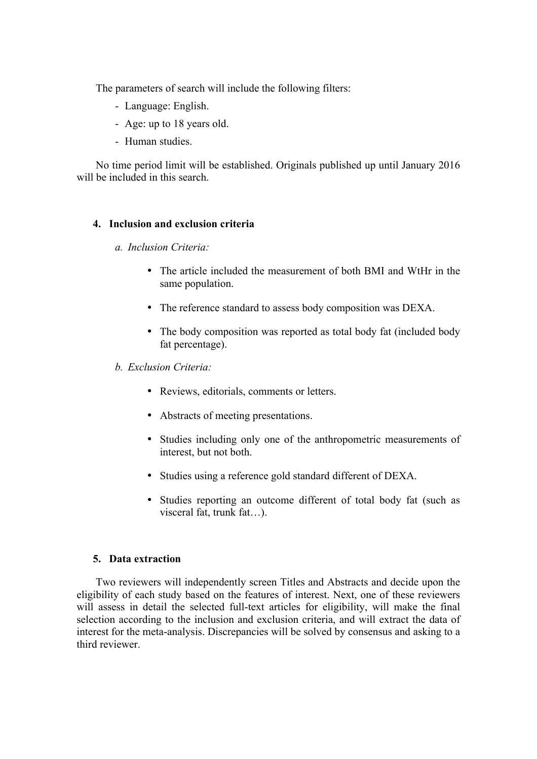The parameters of search will include the following filters:

- Language: English.
- Age: up to 18 years old.
- Human studies.

No time period limit will be established. Originals published up until January 2016 will be included in this search.

#### **4. Inclusion and exclusion criteria**

- *a. Inclusion Criteria:*
	- The article included the measurement of both BMI and WtHr in the same population.
	- The reference standard to assess body composition was DEXA.
	- The body composition was reported as total body fat (included body fat percentage).
- *b. Exclusion Criteria:*
	- Reviews, editorials, comments or letters.
	- Abstracts of meeting presentations.
	- Studies including only one of the anthropometric measurements of interest, but not both.
	- Studies using a reference gold standard different of DEXA.
	- Studies reporting an outcome different of total body fat (such as visceral fat, trunk fat…).

#### **5. Data extraction**

Two reviewers will independently screen Titles and Abstracts and decide upon the eligibility of each study based on the features of interest. Next, one of these reviewers will assess in detail the selected full-text articles for eligibility, will make the final selection according to the inclusion and exclusion criteria, and will extract the data of interest for the meta-analysis. Discrepancies will be solved by consensus and asking to a third reviewer.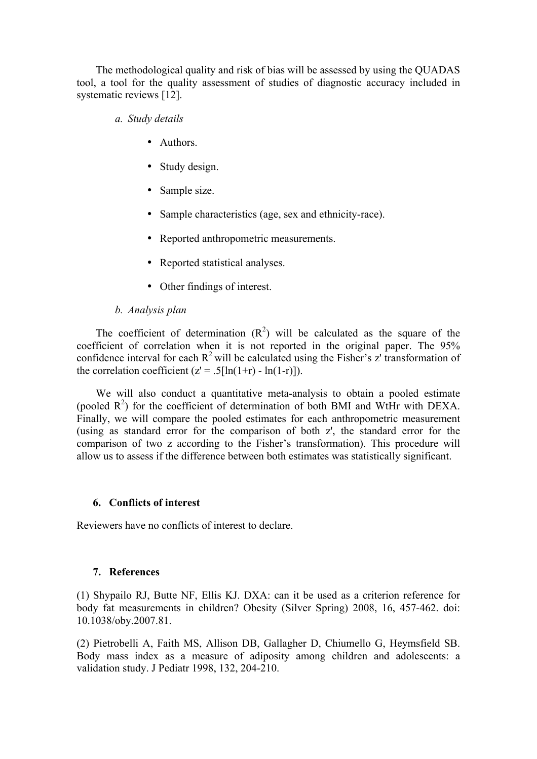The methodological quality and risk of bias will be assessed by using the QUADAS tool, a tool for the quality assessment of studies of diagnostic accuracy included in systematic reviews [12].

- *a. Study details*
	- Authors.
	- Study design.
	- Sample size.
	- Sample characteristics (age, sex and ethnicity-race).
	- Reported anthropometric measurements.
	- Reported statistical analyses.
	- Other findings of interest.

### *b. Analysis plan*

The coefficient of determination  $(R^2)$  will be calculated as the square of the coefficient of correlation when it is not reported in the original paper. The 95% confidence interval for each  $R^2$  will be calculated using the Fisher's z' transformation of the correlation coefficient  $(z' = .5[\ln(1+r) - \ln(1-r)]$ .

We will also conduct a quantitative meta-analysis to obtain a pooled estimate (pooled  $R^2$ ) for the coefficient of determination of both BMI and WtHr with DEXA. Finally, we will compare the pooled estimates for each anthropometric measurement (using as standard error for the comparison of both z', the standard error for the comparison of two z according to the Fisher's transformation). This procedure will allow us to assess if the difference between both estimates was statistically significant.

#### **6. Conflicts of interest**

Reviewers have no conflicts of interest to declare.

# **7. References**

(1) Shypailo RJ, Butte NF, Ellis KJ. DXA: can it be used as a criterion reference for body fat measurements in children? Obesity (Silver Spring) 2008, 16, 457-462. doi: 10.1038/oby.2007.81.

(2) Pietrobelli A, Faith MS, Allison DB, Gallagher D, Chiumello G, Heymsfield SB. Body mass index as a measure of adiposity among children and adolescents: a validation study. J Pediatr 1998, 132, 204-210.